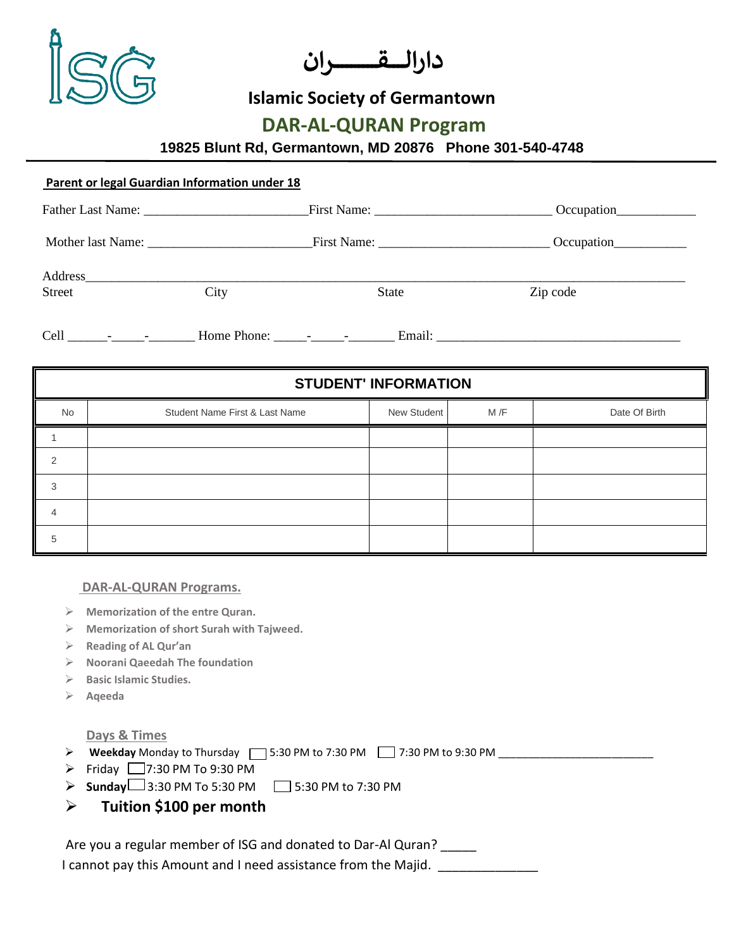

**دارالـــــقـــــــــــــــران** 

## **Islamic Society of Germantown**

## **DAR-AL-QURAN Program**

**19825 Blunt Rd, Germantown, MD 20876 Phone 301-540-4748** 

| Parent or legal Guardian Information under 18 |      |       |            |  |  |  |  |
|-----------------------------------------------|------|-------|------------|--|--|--|--|
|                                               |      |       | Occupation |  |  |  |  |
|                                               |      |       | Occupation |  |  |  |  |
| <b>Street</b>                                 | City | State | Zip code   |  |  |  |  |
|                                               |      |       |            |  |  |  |  |

| <b>STUDENT' INFORMATION</b> |                                |             |      |               |  |  |
|-----------------------------|--------------------------------|-------------|------|---------------|--|--|
| No                          | Student Name First & Last Name | New Student | M /F | Date Of Birth |  |  |
|                             |                                |             |      |               |  |  |
| $\mathfrak{p}$              |                                |             |      |               |  |  |
| 3                           |                                |             |      |               |  |  |
|                             |                                |             |      |               |  |  |
| 5                           |                                |             |      |               |  |  |

## **DAR-AL-QURAN Programs.**

- ➢ **Memorization of the entre Quran.**
- ➢ **Memorization of short Surah with Tajweed.**
- ➢ **Reading of AL Qur'an**
- ➢ **Noorani Qaeedah The foundation**
- ➢ **Basic Islamic Studies.**
- ➢ **Aqeeda**

## **Days & Times**

- ➢ **Weekday** Monday to Thursday 5:30 PM to 7:30 PM 7:30 PM to 9:30 PM \_\_\_\_\_\_\_\_\_\_\_\_\_\_\_\_\_\_\_\_\_\_\_\_\_\_
- $\triangleright$  Friday  $\square$ 7:30 PM To 9:30 PM
- ➢ **Sunday** 3:30 PM To 5:30 PM 5:30 PM to 7:30 PM
- ➢ **Tuition \$100 per month**

Are you a regular member of ISG and donated to Dar-Al Quran? \_\_\_\_\_

**I cannot pay this Amount and I need assistance from the Majid.** \_\_\_\_\_\_\_\_\_\_\_\_\_\_\_\_